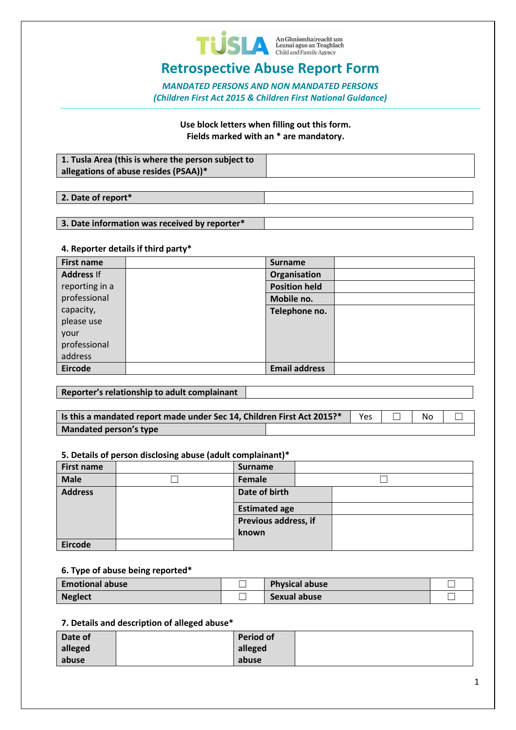

## **Retrospective Abuse Report Form**

*MANDATED PERSONS AND NON MANDATED PERSONS (Children First Act 2015 & Children First National Guidance)*

> **Use block letters when filling out this form. Fields marked with an \* are mandatory.**

| $\mid$ 1. Tusla Area (this is where the person subject to<br>allegations of abuse resides (PSAA))* |  |
|----------------------------------------------------------------------------------------------------|--|
|                                                                                                    |  |

**2. Date of report\***

#### **3. Date information was received by reporter\***

#### **4. Reporter details if third party\***

| <b>First name</b> | <b>Surname</b>       |  |
|-------------------|----------------------|--|
| <b>Address If</b> | Organisation         |  |
| reporting in a    | <b>Position held</b> |  |
| professional      | Mobile no.           |  |
| capacity,         | Telephone no.        |  |
| please use        |                      |  |
| your              |                      |  |
| professional      |                      |  |
| address           |                      |  |
| <b>Eircode</b>    | <b>Email address</b> |  |

#### **Reporter's relationship to adult complainant**

| Is this a mandated report made under Sec 14, Children First Act 2015?* |  | <b>Yes</b> | No |  |
|------------------------------------------------------------------------|--|------------|----|--|
| Mandated person's type                                                 |  |            |    |  |

#### **5. Details of person disclosing abuse (adult complainant)\***

|                   | . . |                      |  |  |
|-------------------|-----|----------------------|--|--|
| <b>First name</b> |     | <b>Surname</b>       |  |  |
| <b>Male</b>       |     | Female               |  |  |
| <b>Address</b>    |     | Date of birth        |  |  |
|                   |     | <b>Estimated age</b> |  |  |
|                   |     | Previous address, if |  |  |
|                   |     | known                |  |  |
| Eircode           |     |                      |  |  |

#### **6. Type of abuse being reported\***

| Emotional abuse | <b>Physical abuse</b> |  |
|-----------------|-----------------------|--|
| <b>Neglect</b>  | Sexual abuse          |  |

#### **7. Details and description of alleged abuse\***

| Date of | <b>Period of</b> |  |
|---------|------------------|--|
| alleged | alleged          |  |
| abuse   | abuse            |  |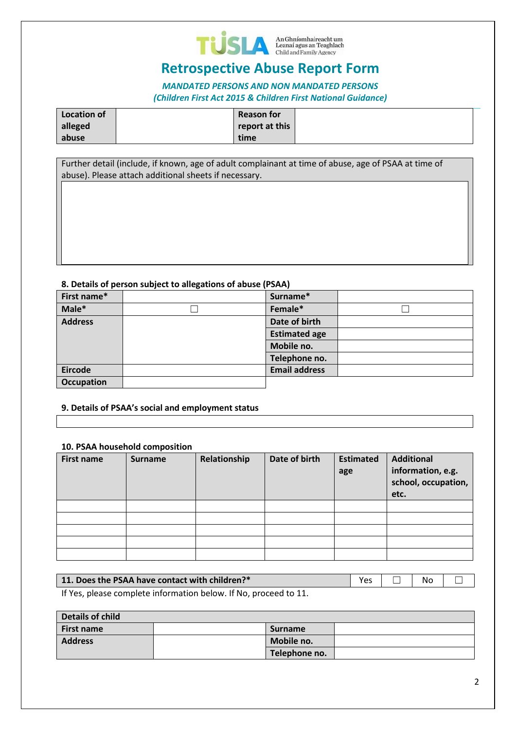

# **Retrospective Abuse Report Form**

### *MANDATED PERSONS AND NON MANDATED PERSONS (Children First Act 2015 & Children First National Guidance)*

| Location of | <b>Reason for</b> |  |
|-------------|-------------------|--|
| alleged     | report at this    |  |
| abuse       | time              |  |

Further detail (include, if known, age of adult complainant at time of abuse, age of PSAA at time of abuse). Please attach additional sheets if necessary.

#### **8. Details of person subject to allegations of abuse (PSAA)**

| First name*       | Surname*             |  |
|-------------------|----------------------|--|
| Male*             | Female*              |  |
| <b>Address</b>    | Date of birth        |  |
|                   | <b>Estimated age</b> |  |
|                   | Mobile no.           |  |
|                   | Telephone no.        |  |
| <b>Eircode</b>    | <b>Email address</b> |  |
| <b>Occupation</b> |                      |  |

#### **9. Details of PSAA's social and employment status**

#### **10. PSAA household composition**

| <b>First name</b> | <b>Surname</b> | Relationship | Date of birth | <b>Estimated</b><br>age | <b>Additional</b><br>information, e.g.<br>school, occupation,<br>etc. |
|-------------------|----------------|--------------|---------------|-------------------------|-----------------------------------------------------------------------|
|                   |                |              |               |                         |                                                                       |
|                   |                |              |               |                         |                                                                       |
|                   |                |              |               |                         |                                                                       |
|                   |                |              |               |                         |                                                                       |
|                   |                |              |               |                         |                                                                       |

|--|

If Yes, please complete information below. If No, proceed to 11.

| <b>Details of child</b> |  |                |  |  |  |
|-------------------------|--|----------------|--|--|--|
| <b>First name</b>       |  | <b>Surname</b> |  |  |  |
| <b>Address</b>          |  | Mobile no.     |  |  |  |
|                         |  | Telephone no.  |  |  |  |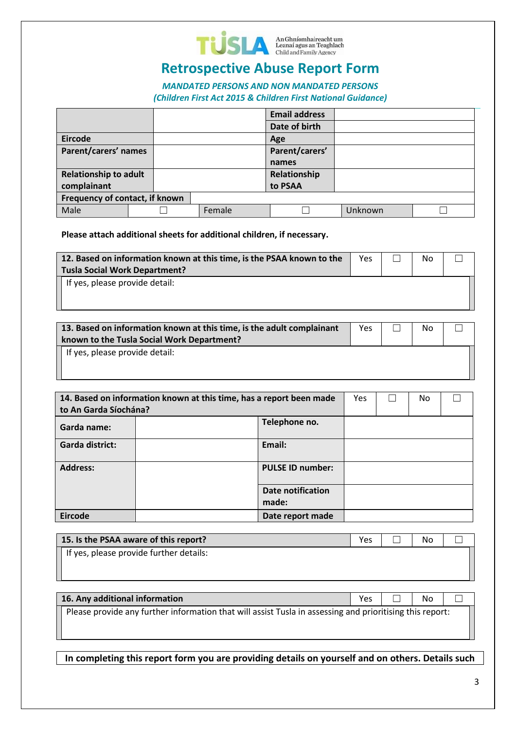

# **Retrospective Abuse Report Form**

*MANDATED PERSONS AND NON MANDATED PERSONS (Children First Act 2015 & Children First National Guidance)*

|                                |        | <b>Email address</b> |         |  |
|--------------------------------|--------|----------------------|---------|--|
|                                |        | Date of birth        |         |  |
| <b>Eircode</b>                 |        | Age                  |         |  |
| Parent/carers' names           |        | Parent/carers'       |         |  |
|                                |        | names                |         |  |
| <b>Relationship to adult</b>   |        | Relationship         |         |  |
| complainant                    |        | to PSAA              |         |  |
| Frequency of contact, if known |        |                      |         |  |
| Male                           | Female |                      | Unknown |  |

**Please attach additional sheets for additional children, if necessary.**

| 12. Based on information known at this time, is the PSAA known to the<br><b>Tusla Social Work Department?</b> | <b>Yes</b> | No |  |
|---------------------------------------------------------------------------------------------------------------|------------|----|--|
| If yes, please provide detail:                                                                                |            |    |  |

| 13. Based on information known at this time, is the adult complainant<br>known to the Tusla Social Work Department? | Yes | No |  |
|---------------------------------------------------------------------------------------------------------------------|-----|----|--|
| If yes, please provide detail:                                                                                      |     |    |  |

| to An Garda Síochána? | 14. Based on information known at this time, has a report been made |                            | <b>Yes</b> | No |  |
|-----------------------|---------------------------------------------------------------------|----------------------------|------------|----|--|
| Garda name:           |                                                                     | Telephone no.              |            |    |  |
| Garda district:       |                                                                     | Email:                     |            |    |  |
| <b>Address:</b>       |                                                                     | <b>PULSE ID number:</b>    |            |    |  |
|                       |                                                                     | Date notification<br>made: |            |    |  |
| <b>Eircode</b>        |                                                                     | Date report made           |            |    |  |

| 15. Is the PSAA aware of this report?   | Yes | No |  |
|-----------------------------------------|-----|----|--|
| If yes, please provide further details: |     |    |  |

| 16. Any additional information                                                                           | <b>Yes</b> | No. |  |
|----------------------------------------------------------------------------------------------------------|------------|-----|--|
| Please provide any further information that will assist Tusla in assessing and prioritising this report: |            |     |  |

**In completing this report form you are providing details on yourself and on others. Details such**